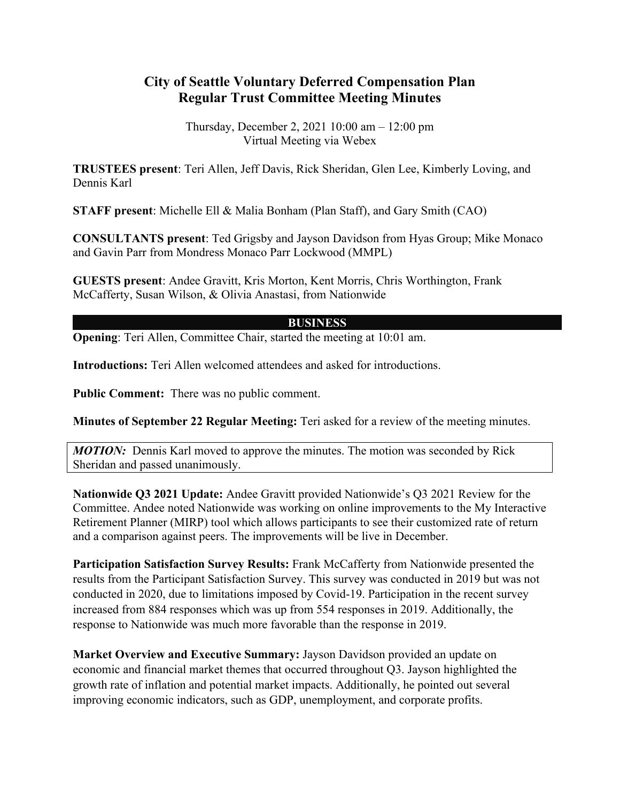## **City of Seattle Voluntary Deferred Compensation Plan Regular Trust Committee Meeting Minutes**

Thursday, December 2, 2021 10:00 am – 12:00 pm Virtual Meeting via Webex

**TRUSTEES present**: Teri Allen, Jeff Davis, Rick Sheridan, Glen Lee, Kimberly Loving, and Dennis Karl

**STAFF present**: Michelle Ell & Malia Bonham (Plan Staff), and Gary Smith (CAO)

**CONSULTANTS present**: Ted Grigsby and Jayson Davidson from Hyas Group; Mike Monaco and Gavin Parr from Mondress Monaco Parr Lockwood (MMPL)

**GUESTS present**: Andee Gravitt, Kris Morton, Kent Morris, Chris Worthington, Frank McCafferty, Susan Wilson, & Olivia Anastasi, from Nationwide

## **BUSINESS**

**Opening**: Teri Allen, Committee Chair, started the meeting at 10:01 am.

**Introductions:** Teri Allen welcomed attendees and asked for introductions.

**Public Comment:** There was no public comment.

**Minutes of September 22 Regular Meeting:** Teri asked for a review of the meeting minutes.

*MOTION:* Dennis Karl moved to approve the minutes. The motion was seconded by Rick Sheridan and passed unanimously.

**Nationwide Q3 2021 Update:** Andee Gravitt provided Nationwide's Q3 2021 Review for the Committee. Andee noted Nationwide was working on online improvements to the My Interactive Retirement Planner (MIRP) tool which allows participants to see their customized rate of return and a comparison against peers. The improvements will be live in December.

**Participation Satisfaction Survey Results:** Frank McCafferty from Nationwide presented the results from the Participant Satisfaction Survey. This survey was conducted in 2019 but was not conducted in 2020, due to limitations imposed by Covid-19. Participation in the recent survey increased from 884 responses which was up from 554 responses in 2019. Additionally, the response to Nationwide was much more favorable than the response in 2019.

**Market Overview and Executive Summary:** Jayson Davidson provided an update on economic and financial market themes that occurred throughout Q3. Jayson highlighted the growth rate of inflation and potential market impacts. Additionally, he pointed out several improving economic indicators, such as GDP, unemployment, and corporate profits.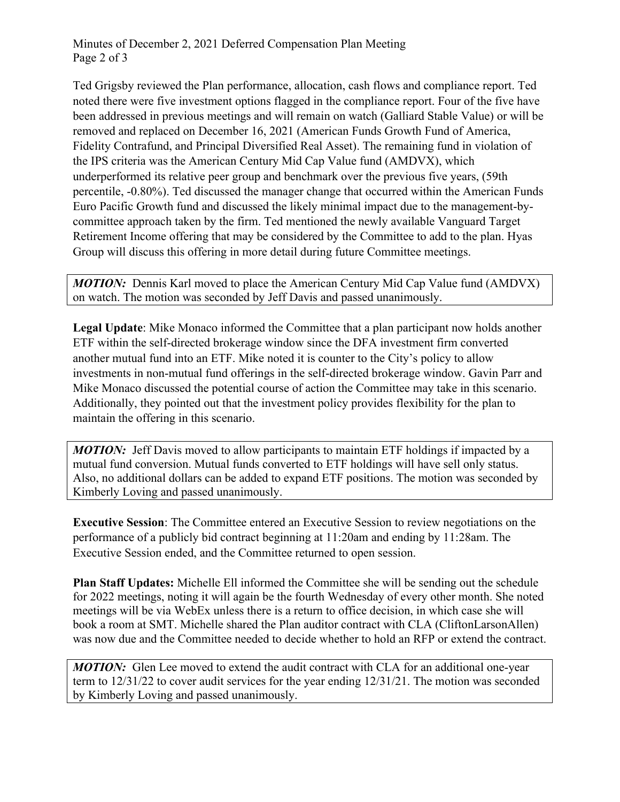Minutes of December 2, 2021 Deferred Compensation Plan Meeting Page 2 of 3

Ted Grigsby reviewed the Plan performance, allocation, cash flows and compliance report. Ted noted there were five investment options flagged in the compliance report. Four of the five have been addressed in previous meetings and will remain on watch (Galliard Stable Value) or will be removed and replaced on December 16, 2021 (American Funds Growth Fund of America, Fidelity Contrafund, and Principal Diversified Real Asset). The remaining fund in violation of the IPS criteria was the American Century Mid Cap Value fund (AMDVX), which underperformed its relative peer group and benchmark over the previous five years, (59th percentile, -0.80%). Ted discussed the manager change that occurred within the American Funds Euro Pacific Growth fund and discussed the likely minimal impact due to the management-bycommittee approach taken by the firm. Ted mentioned the newly available Vanguard Target Retirement Income offering that may be considered by the Committee to add to the plan. Hyas Group will discuss this offering in more detail during future Committee meetings.

*MOTION:* Dennis Karl moved to place the American Century Mid Cap Value fund (AMDVX) on watch. The motion was seconded by Jeff Davis and passed unanimously.

**Legal Update**: Mike Monaco informed the Committee that a plan participant now holds another ETF within the self-directed brokerage window since the DFA investment firm converted another mutual fund into an ETF. Mike noted it is counter to the City's policy to allow investments in non-mutual fund offerings in the self-directed brokerage window. Gavin Parr and Mike Monaco discussed the potential course of action the Committee may take in this scenario. Additionally, they pointed out that the investment policy provides flexibility for the plan to maintain the offering in this scenario.

**MOTION:** Jeff Davis moved to allow participants to maintain ETF holdings if impacted by a mutual fund conversion. Mutual funds converted to ETF holdings will have sell only status. Also, no additional dollars can be added to expand ETF positions. The motion was seconded by Kimberly Loving and passed unanimously.

**Executive Session**: The Committee entered an Executive Session to review negotiations on the performance of a publicly bid contract beginning at 11:20am and ending by 11:28am. The Executive Session ended, and the Committee returned to open session.

**Plan Staff Updates:** Michelle Ell informed the Committee she will be sending out the schedule for 2022 meetings, noting it will again be the fourth Wednesday of every other month. She noted meetings will be via WebEx unless there is a return to office decision, in which case she will book a room at SMT. Michelle shared the Plan auditor contract with CLA (CliftonLarsonAllen) was now due and the Committee needed to decide whether to hold an RFP or extend the contract.

**MOTION:** Glen Lee moved to extend the audit contract with CLA for an additional one-year term to 12/31/22 to cover audit services for the year ending 12/31/21. The motion was seconded by Kimberly Loving and passed unanimously.